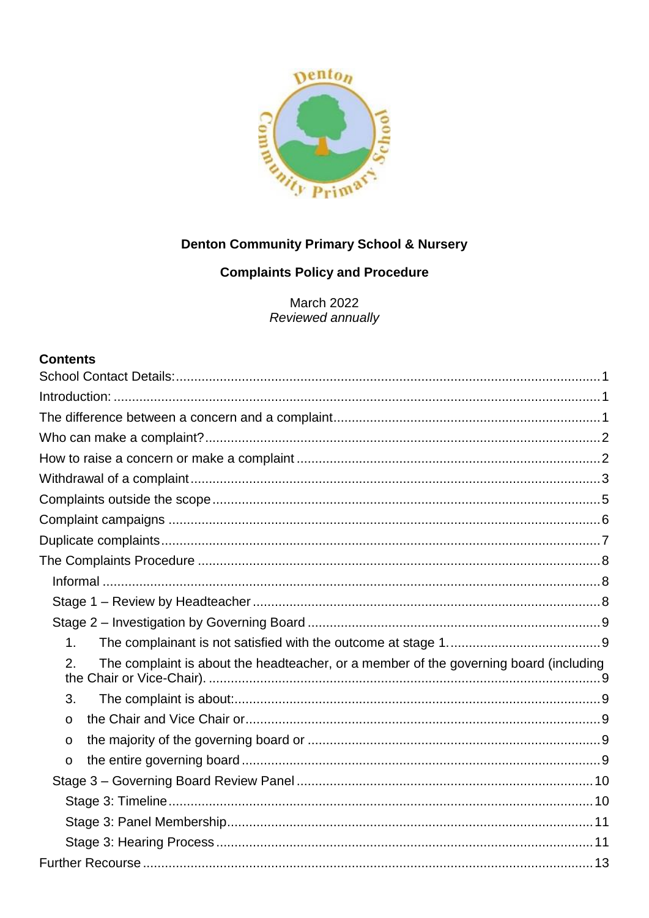

## **Denton Community Primary School & Nursery**

# **Complaints Policy and Procedure**

**March 2022** Reviewed annually

#### **Contents**

| 1.                                                                                          |  |
|---------------------------------------------------------------------------------------------|--|
| The complaint is about the headteacher, or a member of the governing board (including<br>2. |  |
| 3.                                                                                          |  |
| $\mathsf{o}$                                                                                |  |
| $\Omega$                                                                                    |  |
| $\mathbf O$                                                                                 |  |
|                                                                                             |  |
|                                                                                             |  |
|                                                                                             |  |
|                                                                                             |  |
|                                                                                             |  |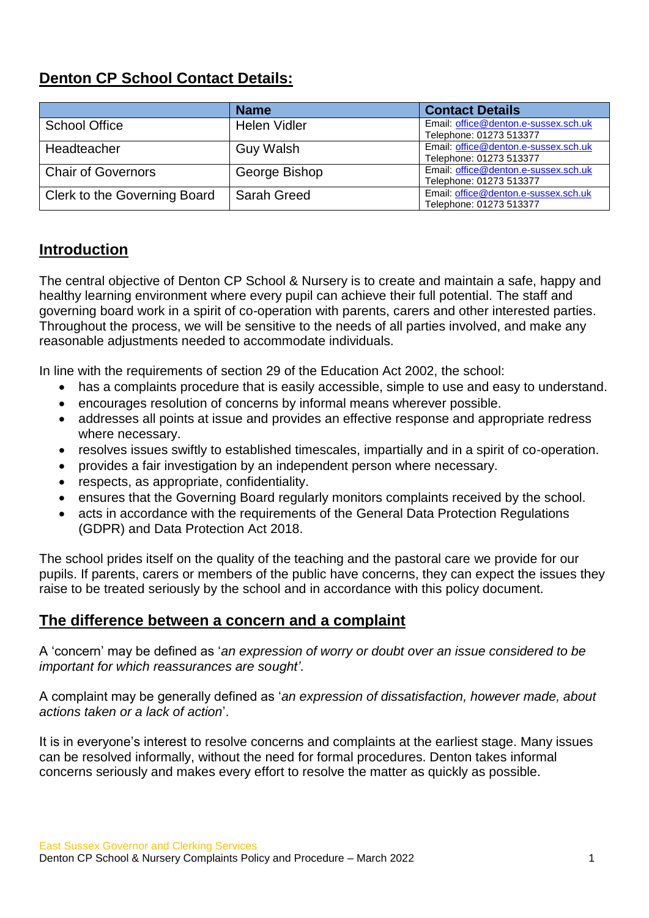# <span id="page-2-0"></span>**Denton CP School Contact Details:**

|                              | <b>Name</b>         | <b>Contact Details</b>                                          |
|------------------------------|---------------------|-----------------------------------------------------------------|
| <b>School Office</b>         | <b>Helen Vidler</b> | Email: office@denton.e-sussex.sch.uk<br>Telephone: 01273 513377 |
| Headteacher                  | <b>Guy Walsh</b>    | Email: office@denton.e-sussex.sch.uk<br>Telephone: 01273 513377 |
| <b>Chair of Governors</b>    | George Bishop       | Email: office@denton.e-sussex.sch.uk<br>Telephone: 01273 513377 |
| Clerk to the Governing Board | Sarah Greed         | Email: office@denton.e-sussex.sch.uk<br>Telephone: 01273 513377 |

### <span id="page-2-1"></span>**Introduction**

The central objective of Denton CP School & Nursery is to create and maintain a safe, happy and healthy learning environment where every pupil can achieve their full potential. The staff and governing board work in a spirit of co-operation with parents, carers and other interested parties. Throughout the process, we will be sensitive to the needs of all parties involved, and make any reasonable adjustments needed to accommodate individuals.

In line with the requirements of section 29 of the Education Act 2002, the school:

- has a complaints procedure that is easily accessible, simple to use and easy to understand.
- encourages resolution of concerns by informal means wherever possible.
- addresses all points at issue and provides an effective response and appropriate redress where necessary.
- resolves issues swiftly to established timescales, impartially and in a spirit of co-operation.
- provides a fair investigation by an independent person where necessary.
- respects, as appropriate, confidentiality.
- ensures that the Governing Board regularly monitors complaints received by the school.
- acts in accordance with the requirements of the General Data Protection Regulations (GDPR) and Data Protection Act 2018.

The school prides itself on the quality of the teaching and the pastoral care we provide for our pupils. If parents, carers or members of the public have concerns, they can expect the issues they raise to be treated seriously by the school and in accordance with this policy document.

### <span id="page-2-2"></span>**The difference between a concern and a complaint**

A 'concern' may be defined as '*an expression of worry or doubt over an issue considered to be important for which reassurances are sought'*.

A complaint may be generally defined as '*an expression of dissatisfaction, however made, about actions taken or a lack of action*'.

It is in everyone's interest to resolve concerns and complaints at the earliest stage. Many issues can be resolved informally, without the need for formal procedures. Denton takes informal concerns seriously and makes every effort to resolve the matter as quickly as possible.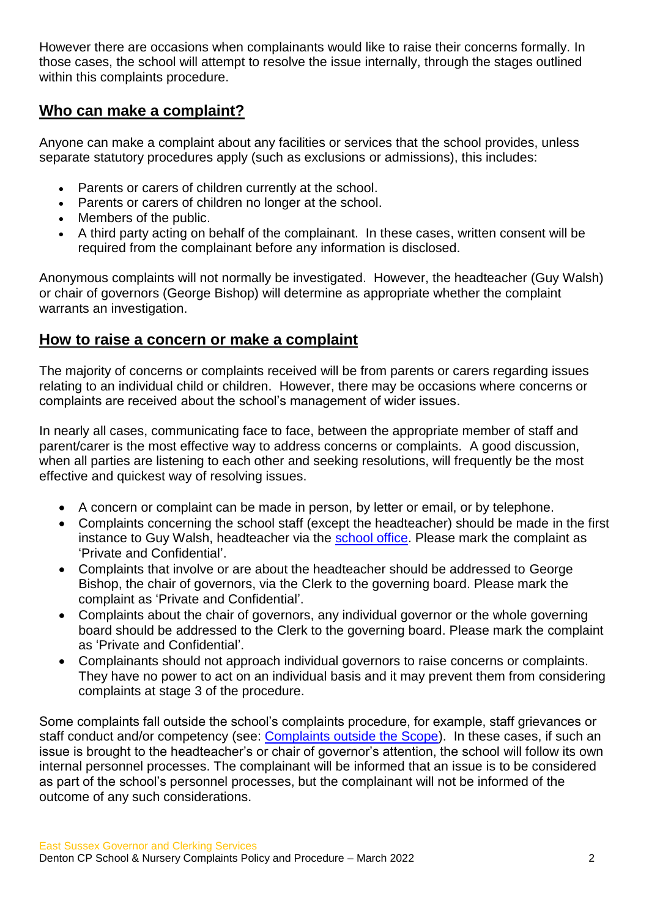However there are occasions when complainants would like to raise their concerns formally. In those cases, the school will attempt to resolve the issue internally, through the stages outlined within this complaints procedure.

## <span id="page-3-0"></span>**Who can make a complaint?**

Anyone can make a complaint about any facilities or services that the school provides, unless separate statutory procedures apply (such as exclusions or admissions), this includes:

- Parents or carers of children currently at the school.
- Parents or carers of children no longer at the school.
- Members of the public.
- A third party acting on behalf of the complainant. In these cases, written consent will be required from the complainant before any information is disclosed.

Anonymous complaints will not normally be investigated. However, the headteacher (Guy Walsh) or chair of governors (George Bishop) will determine as appropriate whether the complaint warrants an investigation.

# <span id="page-3-1"></span>**How to raise a concern or make a complaint**

The majority of concerns or complaints received will be from parents or carers regarding issues relating to an individual child or children. However, there may be occasions where concerns or complaints are received about the school's management of wider issues.

In nearly all cases, communicating face to face, between the appropriate member of staff and parent/carer is the most effective way to address concerns or complaints. A good discussion, when all parties are listening to each other and seeking resolutions, will frequently be the most effective and quickest way of resolving issues.

- A concern or complaint can be made in person, by letter or email, or by telephone.
- Complaints concerning the school staff (except the headteacher) should be made in the first instance to Guy Walsh, headteacher via the [school office.](#page-2-0) Please mark the complaint as 'Private and Confidential'.
- Complaints that involve or are about the headteacher should be addressed to George Bishop, the chair of governors, via the Clerk to the governing board. Please mark the complaint as 'Private and Confidential'.
- Complaints about the chair of governors, any individual governor or the whole governing board should be addressed to the Clerk to the governing board. Please mark the complaint as 'Private and Confidential'.
- Complainants should not approach individual governors to raise concerns or complaints. They have no power to act on an individual basis and it may prevent them from considering complaints at stage 3 of the procedure.

Some complaints fall outside the school's complaints procedure, for example, staff grievances or staff conduct and/or competency (see: [Complaints outside the Scope\)](#page-6-0). In these cases, if such an issue is brought to the headteacher's or chair of governor's attention, the school will follow its own internal personnel processes. The complainant will be informed that an issue is to be considered as part of the school's personnel processes, but the complainant will not be informed of the outcome of any such considerations.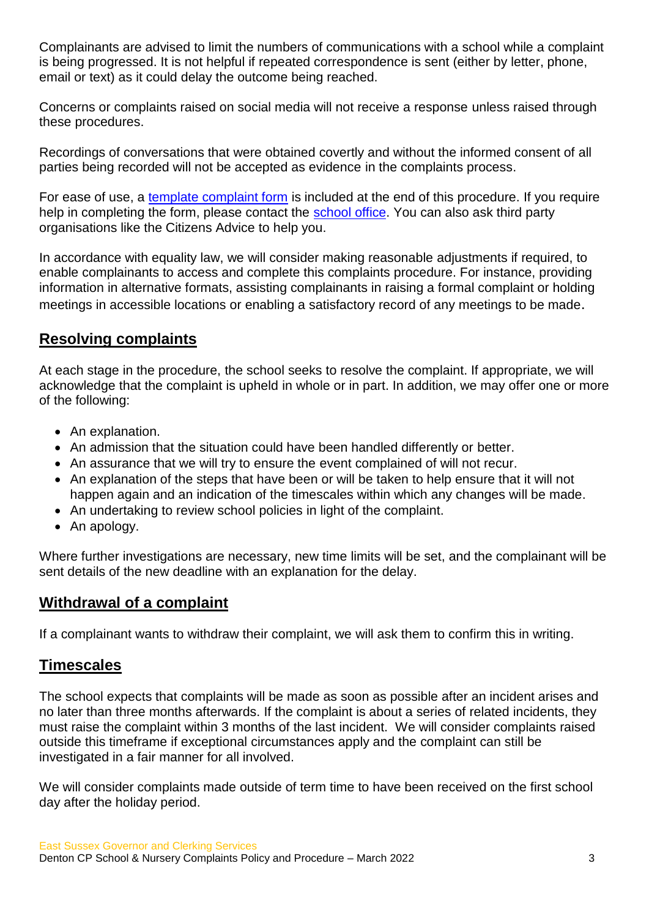Complainants are advised to limit the numbers of communications with a school while a complaint is being progressed. It is not helpful if repeated correspondence is sent (either by letter, phone, email or text) as it could delay the outcome being reached.

Concerns or complaints raised on social media will not receive a response unless raised through these procedures.

Recordings of conversations that were obtained covertly and without the informed consent of all parties being recorded will not be accepted as evidence in the complaints process.

For ease of use, a [template complaint form](#page-20-0) is included at the end of this procedure. If you require help in completing the form, please contact the [school office.](#page-2-0) You can also ask third party organisations like the Citizens Advice to help you.

In accordance with equality law, we will consider making reasonable adjustments if required, to enable complainants to access and complete this complaints procedure. For instance, providing information in alternative formats, assisting complainants in raising a formal complaint or holding meetings in accessible locations or enabling a satisfactory record of any meetings to be made.

# **Resolving complaints**

At each stage in the procedure, the school seeks to resolve the complaint. If appropriate, we will acknowledge that the complaint is upheld in whole or in part. In addition, we may offer one or more of the following:

- An explanation.
- An admission that the situation could have been handled differently or better.
- An assurance that we will try to ensure the event complained of will not recur.
- An explanation of the steps that have been or will be taken to help ensure that it will not happen again and an indication of the timescales within which any changes will be made.
- An undertaking to review school policies in light of the complaint.
- An apology.

Where further investigations are necessary, new time limits will be set, and the complainant will be sent details of the new deadline with an explanation for the delay.

### <span id="page-4-0"></span>**Withdrawal of a complaint**

If a complainant wants to withdraw their complaint, we will ask them to confirm this in writing.

### **Timescales**

The school expects that complaints will be made as soon as possible after an incident arises and no later than three months afterwards. If the complaint is about a series of related incidents, they must raise the complaint within 3 months of the last incident. We will consider complaints raised outside this timeframe if exceptional circumstances apply and the complaint can still be investigated in a fair manner for all involved.

We will consider complaints made outside of term time to have been received on the first school day after the holiday period.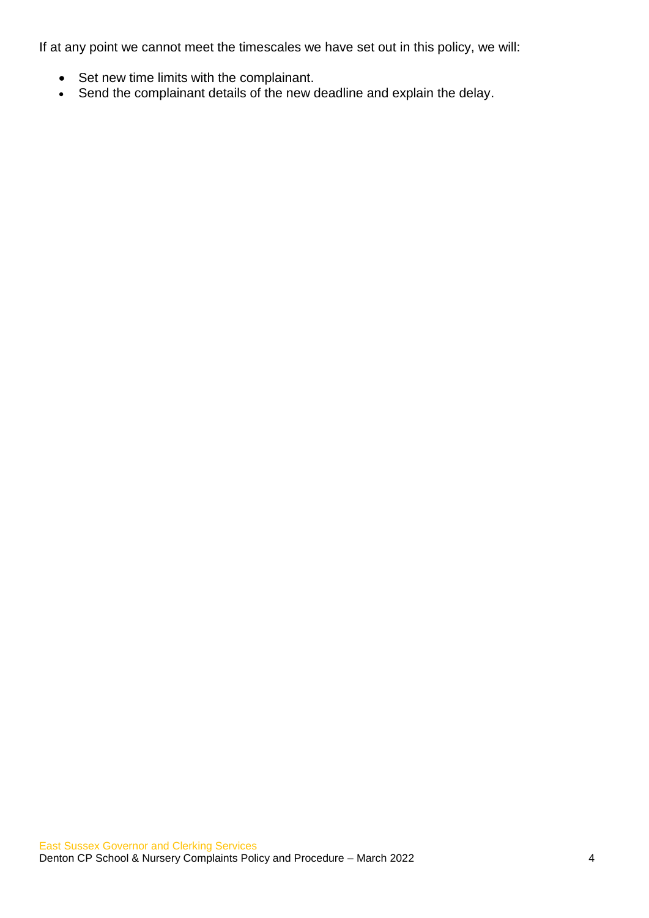If at any point we cannot meet the timescales we have set out in this policy, we will:

- Set new time limits with the complainant.
- Send the complainant details of the new deadline and explain the delay.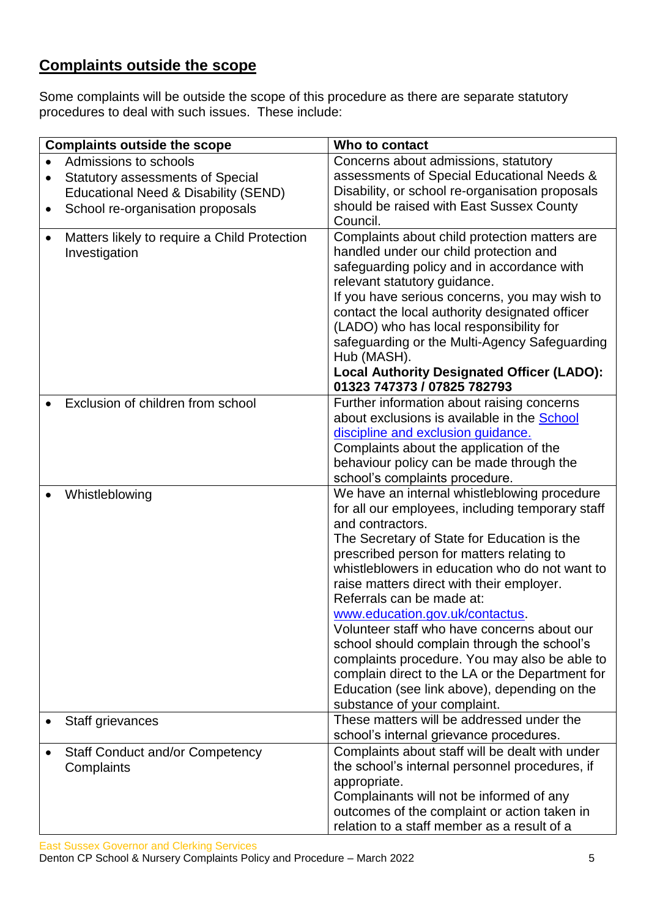# <span id="page-6-0"></span>**Complaints outside the scope**

Some complaints will be outside the scope of this procedure as there are separate statutory procedures to deal with such issues. These include:

|            | <b>Complaints outside the scope</b>          | Who to contact                                                                 |  |  |
|------------|----------------------------------------------|--------------------------------------------------------------------------------|--|--|
|            | Admissions to schools                        | Concerns about admissions, statutory                                           |  |  |
|            | <b>Statutory assessments of Special</b>      | assessments of Special Educational Needs &                                     |  |  |
|            | Educational Need & Disability (SEND)         | Disability, or school re-organisation proposals                                |  |  |
| $\bullet$  | School re-organisation proposals             | should be raised with East Sussex County                                       |  |  |
|            |                                              | Council.                                                                       |  |  |
| $\bullet$  | Matters likely to require a Child Protection | Complaints about child protection matters are                                  |  |  |
|            | Investigation                                | handled under our child protection and                                         |  |  |
|            |                                              | safeguarding policy and in accordance with                                     |  |  |
|            |                                              | relevant statutory guidance.                                                   |  |  |
|            |                                              | If you have serious concerns, you may wish to                                  |  |  |
|            |                                              | contact the local authority designated officer                                 |  |  |
|            |                                              | (LADO) who has local responsibility for                                        |  |  |
|            |                                              | safeguarding or the Multi-Agency Safeguarding                                  |  |  |
|            |                                              | Hub (MASH).<br><b>Local Authority Designated Officer (LADO):</b>               |  |  |
|            |                                              | 01323 747373 / 07825 782793                                                    |  |  |
|            | Exclusion of children from school            | Further information about raising concerns                                     |  |  |
|            |                                              | about exclusions is available in the School                                    |  |  |
|            |                                              | discipline and exclusion guidance.                                             |  |  |
|            |                                              | Complaints about the application of the                                        |  |  |
|            |                                              | behaviour policy can be made through the                                       |  |  |
|            |                                              | school's complaints procedure.                                                 |  |  |
|            | Whistleblowing                               | We have an internal whistleblowing procedure                                   |  |  |
|            |                                              | for all our employees, including temporary staff                               |  |  |
|            |                                              | and contractors.                                                               |  |  |
|            |                                              | The Secretary of State for Education is the                                    |  |  |
|            |                                              | prescribed person for matters relating to                                      |  |  |
|            |                                              | whistleblowers in education who do not want to                                 |  |  |
|            |                                              | raise matters direct with their employer.<br>Referrals can be made at:         |  |  |
|            |                                              |                                                                                |  |  |
|            |                                              | www.education.gov.uk/contactus.<br>Volunteer staff who have concerns about our |  |  |
|            |                                              | school should complain through the school's                                    |  |  |
|            |                                              | complaints procedure. You may also be able to                                  |  |  |
|            |                                              | complain direct to the LA or the Department for                                |  |  |
|            |                                              | Education (see link above), depending on the                                   |  |  |
|            |                                              | substance of your complaint.                                                   |  |  |
|            | Staff grievances                             | These matters will be addressed under the                                      |  |  |
|            |                                              | school's internal grievance procedures.                                        |  |  |
|            | <b>Staff Conduct and/or Competency</b>       | Complaints about staff will be dealt with under                                |  |  |
| Complaints |                                              | the school's internal personnel procedures, if                                 |  |  |
|            |                                              | appropriate.                                                                   |  |  |
|            |                                              | Complainants will not be informed of any                                       |  |  |
|            |                                              | outcomes of the complaint or action taken in                                   |  |  |
|            |                                              | relation to a staff member as a result of a                                    |  |  |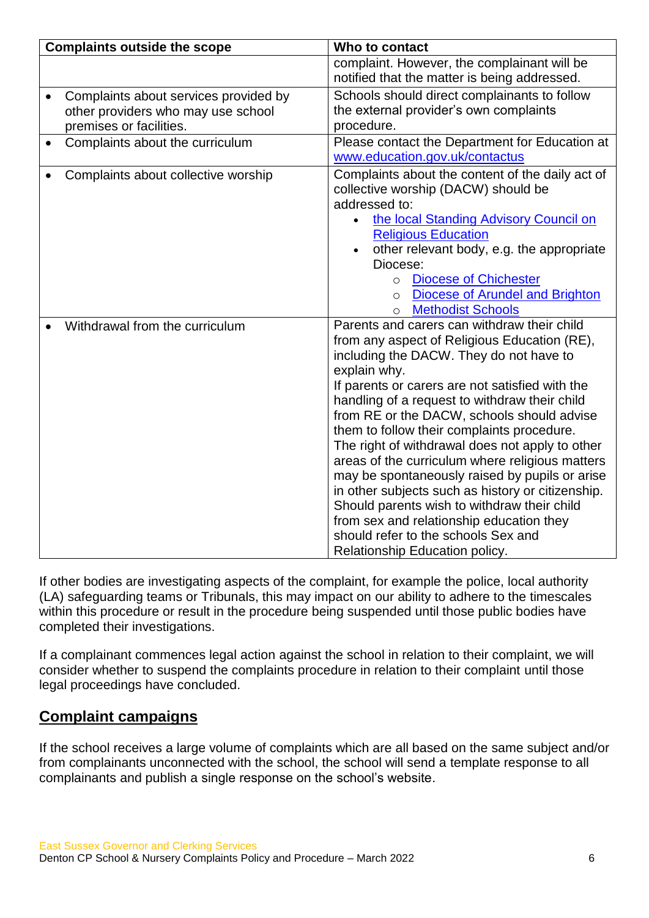|           | <b>Complaints outside the scope</b>                                                                    | Who to contact                                                                                                                                                                                                                                                                                                                                                                                                                                                                                                                                                                                                                                                                                                                          |
|-----------|--------------------------------------------------------------------------------------------------------|-----------------------------------------------------------------------------------------------------------------------------------------------------------------------------------------------------------------------------------------------------------------------------------------------------------------------------------------------------------------------------------------------------------------------------------------------------------------------------------------------------------------------------------------------------------------------------------------------------------------------------------------------------------------------------------------------------------------------------------------|
|           |                                                                                                        | complaint. However, the complainant will be<br>notified that the matter is being addressed.                                                                                                                                                                                                                                                                                                                                                                                                                                                                                                                                                                                                                                             |
| $\bullet$ | Complaints about services provided by<br>other providers who may use school<br>premises or facilities. | Schools should direct complainants to follow<br>the external provider's own complaints<br>procedure.                                                                                                                                                                                                                                                                                                                                                                                                                                                                                                                                                                                                                                    |
|           | Complaints about the curriculum                                                                        | Please contact the Department for Education at<br>www.education.gov.uk/contactus                                                                                                                                                                                                                                                                                                                                                                                                                                                                                                                                                                                                                                                        |
|           | Complaints about collective worship                                                                    | Complaints about the content of the daily act of<br>collective worship (DACW) should be<br>addressed to:<br>the local Standing Advisory Council on<br><b>Religious Education</b><br>other relevant body, e.g. the appropriate<br>$\bullet$<br>Diocese:<br><b>Diocese of Chichester</b><br>$\circ$<br><b>Diocese of Arundel and Brighton</b><br>$\circ$<br><b>Methodist Schools</b><br>$\Omega$                                                                                                                                                                                                                                                                                                                                          |
|           | Withdrawal from the curriculum                                                                         | Parents and carers can withdraw their child<br>from any aspect of Religious Education (RE),<br>including the DACW. They do not have to<br>explain why.<br>If parents or carers are not satisfied with the<br>handling of a request to withdraw their child<br>from RE or the DACW, schools should advise<br>them to follow their complaints procedure.<br>The right of withdrawal does not apply to other<br>areas of the curriculum where religious matters<br>may be spontaneously raised by pupils or arise<br>in other subjects such as history or citizenship.<br>Should parents wish to withdraw their child<br>from sex and relationship education they<br>should refer to the schools Sex and<br>Relationship Education policy. |

If other bodies are investigating aspects of the complaint, for example the police, local authority (LA) safeguarding teams or Tribunals, this may impact on our ability to adhere to the timescales within this procedure or result in the procedure being suspended until those public bodies have completed their investigations.

If a complainant commences legal action against the school in relation to their complaint, we will consider whether to suspend the complaints procedure in relation to their complaint until those legal proceedings have concluded.

## <span id="page-7-0"></span>**Complaint campaigns**

If the school receives a large volume of complaints which are all based on the same subject and/or from complainants unconnected with the school, the school will send a template response to all complainants and publish a single response on the school's website.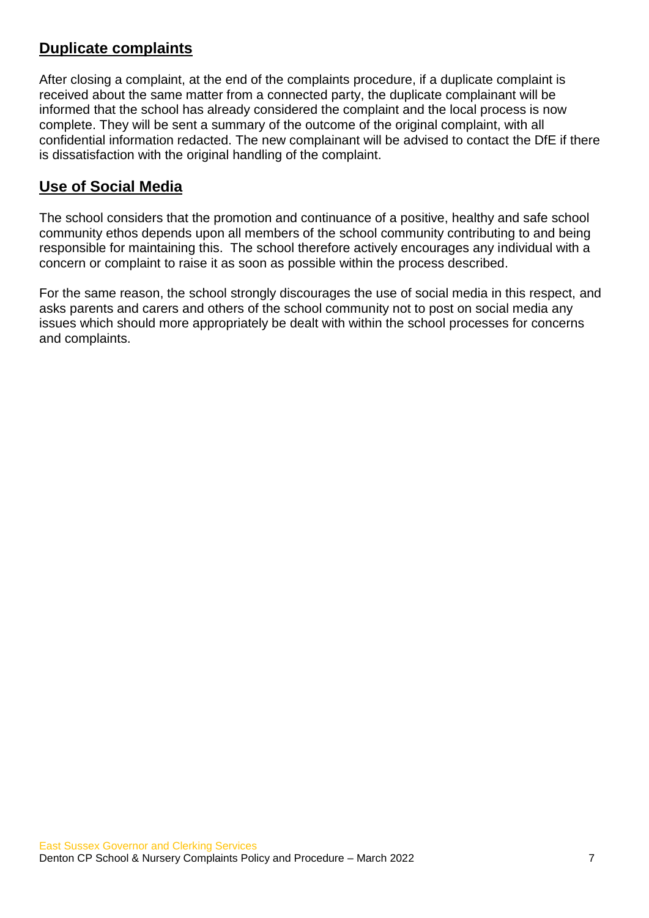# <span id="page-8-0"></span>**Duplicate complaints**

After closing a complaint, at the end of the complaints procedure, if a duplicate complaint is received about the same matter from a connected party, the duplicate complainant will be informed that the school has already considered the complaint and the local process is now complete. They will be sent a summary of the outcome of the original complaint, with all confidential information redacted. The new complainant will be advised to contact the DfE if there is dissatisfaction with the original handling of the complaint.

# **Use of Social Media**

The school considers that the promotion and continuance of a positive, healthy and safe school community ethos depends upon all members of the school community contributing to and being responsible for maintaining this. The school therefore actively encourages any individual with a concern or complaint to raise it as soon as possible within the process described.

For the same reason, the school strongly discourages the use of social media in this respect, and asks parents and carers and others of the school community not to post on social media any issues which should more appropriately be dealt with within the school processes for concerns and complaints.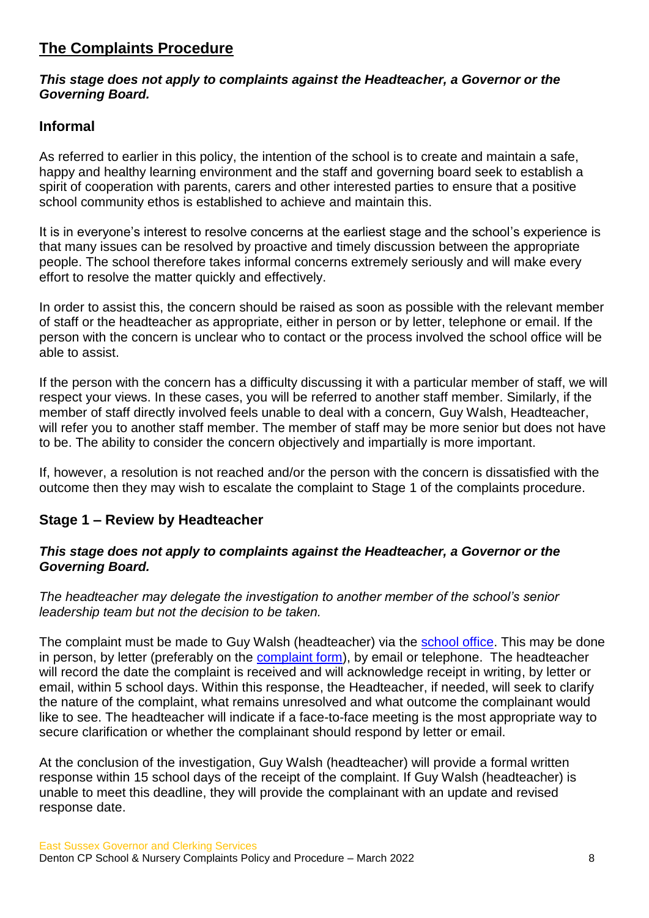# <span id="page-9-0"></span>**The Complaints Procedure**

#### *This stage does not apply to complaints against the Headteacher, a Governor or the Governing Board.*

#### <span id="page-9-1"></span>**Informal**

As referred to earlier in this policy, the intention of the school is to create and maintain a safe, happy and healthy learning environment and the staff and governing board seek to establish a spirit of cooperation with parents, carers and other interested parties to ensure that a positive school community ethos is established to achieve and maintain this.

It is in everyone's interest to resolve concerns at the earliest stage and the school's experience is that many issues can be resolved by proactive and timely discussion between the appropriate people. The school therefore takes informal concerns extremely seriously and will make every effort to resolve the matter quickly and effectively.

In order to assist this, the concern should be raised as soon as possible with the relevant member of staff or the headteacher as appropriate, either in person or by letter, telephone or email. If the person with the concern is unclear who to contact or the process involved [the school office](#page-2-0) will be able to assist.

If the person with the concern has a difficulty discussing it with a particular member of staff, we will respect your views. In these cases, you will be referred to another staff member. Similarly, if the member of staff directly involved feels unable to deal with a concern, Guy Walsh, Headteacher, will refer you to another staff member. The member of staff may be more senior but does not have to be. The ability to consider the concern objectively and impartially is more important.

If, however, a resolution is not reached and/or the person with the concern is dissatisfied with the outcome then they may wish to escalate the complaint to Stage 1 of the complaints procedure.

#### <span id="page-9-2"></span>**Stage 1 – Review by Headteacher**

#### *This stage does not apply to complaints against the Headteacher, a Governor or the Governing Board.*

*The headteacher may delegate the investigation to another member of the school's senior leadership team but not the decision to be taken.*

The complaint must be made to Guy Walsh (headteacher) via the [school office.](#page-2-0) This may be done in person, by letter (preferably on the [complaint form\)](#page-20-0), by email or telephone. The headteacher will record the date the complaint is received and will acknowledge receipt in writing, by letter or email, within 5 school days. Within this response, the Headteacher, if needed, will seek to clarify the nature of the complaint, what remains unresolved and what outcome the complainant would like to see. The headteacher will indicate if a face-to-face meeting is the most appropriate way to secure clarification or whether the complainant should respond by letter or email.

At the conclusion of the investigation, Guy Walsh (headteacher) will provide a formal written response within 15 school days of the receipt of the complaint. If Guy Walsh (headteacher) is unable to meet this deadline, they will provide the complainant with an update and revised response date.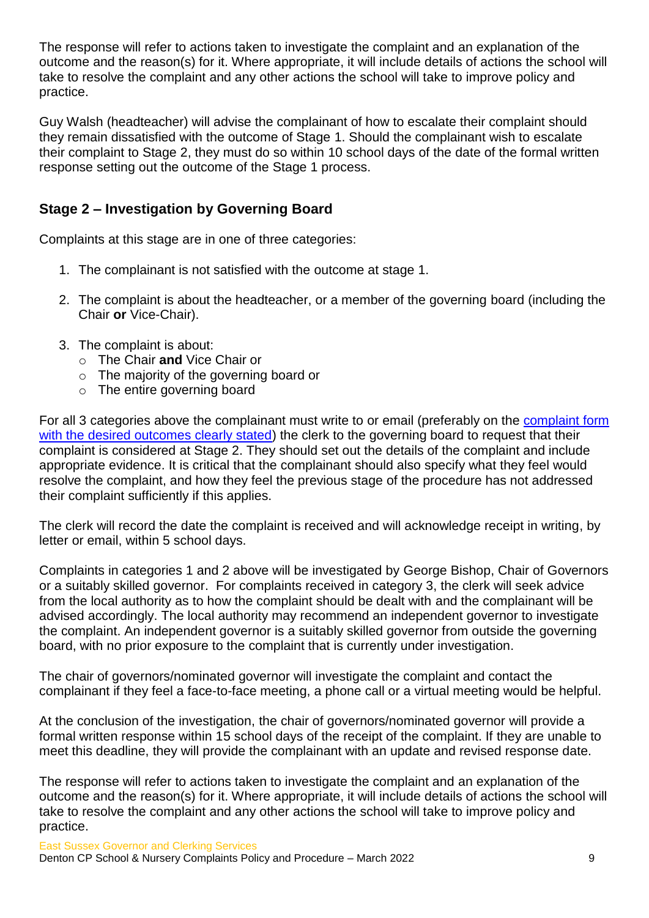The response will refer to actions taken to investigate the complaint and an explanation of the outcome and the reason(s) for it. Where appropriate, it will include details of actions the school will take to resolve the complaint and any other actions the school will take to improve policy and practice.

Guy Walsh (headteacher) will advise the complainant of how to escalate their complaint should they remain dissatisfied with the outcome of Stage 1. Should the complainant wish to escalate their complaint to Stage 2, they must do so within 10 school days of the date of the formal written response setting out the outcome of the Stage 1 process.

### <span id="page-10-0"></span>**Stage 2 – Investigation by Governing Board**

Complaints at this stage are in one of three categories:

- <span id="page-10-1"></span>1. The complainant is not satisfied with the outcome at stage 1.
- <span id="page-10-2"></span>2. The complaint is about the headteacher, or a member of the governing board (including the Chair **or** Vice-Chair).
- <span id="page-10-5"></span><span id="page-10-4"></span><span id="page-10-3"></span>3. The complaint is about:
	- o The Chair **and** Vice Chair or
	- o The majority of the governing board or
	- o The entire governing board

<span id="page-10-6"></span>For all 3 categories above the complainant must write to or email (preferably on the [complaint form](#page-20-0) with the desired outcomes clearly stated) the clerk to the governing board to request that their complaint is considered at Stage 2. They should set out the details of the complaint and include appropriate evidence. It is critical that the complainant should also specify what they feel would resolve the complaint, and how they feel the previous stage of the procedure has not addressed their complaint sufficiently if this applies.

The clerk will record the date the complaint is received and will acknowledge receipt in writing, by letter or email, within 5 school days.

Complaints in categories 1 and 2 above will be investigated by George Bishop, Chair of Governors or a suitably skilled governor. For complaints received in category 3, the clerk will seek advice from the local authority as to how the complaint should be dealt with and the complainant will be advised accordingly. The local authority may recommend an independent governor to investigate the complaint. An independent governor is a suitably skilled governor from outside the governing board, with no prior exposure to the complaint that is currently under investigation.

The chair of governors/nominated governor will investigate the complaint and contact the complainant if they feel a face-to-face meeting, a phone call or a virtual meeting would be helpful.

At the conclusion of the investigation, the chair of governors/nominated governor will provide a formal written response within 15 school days of the receipt of the complaint. If they are unable to meet this deadline, they will provide the complainant with an update and revised response date.

The response will refer to actions taken to investigate the complaint and an explanation of the outcome and the reason(s) for it. Where appropriate, it will include details of actions the school will take to resolve the complaint and any other actions the school will take to improve policy and practice.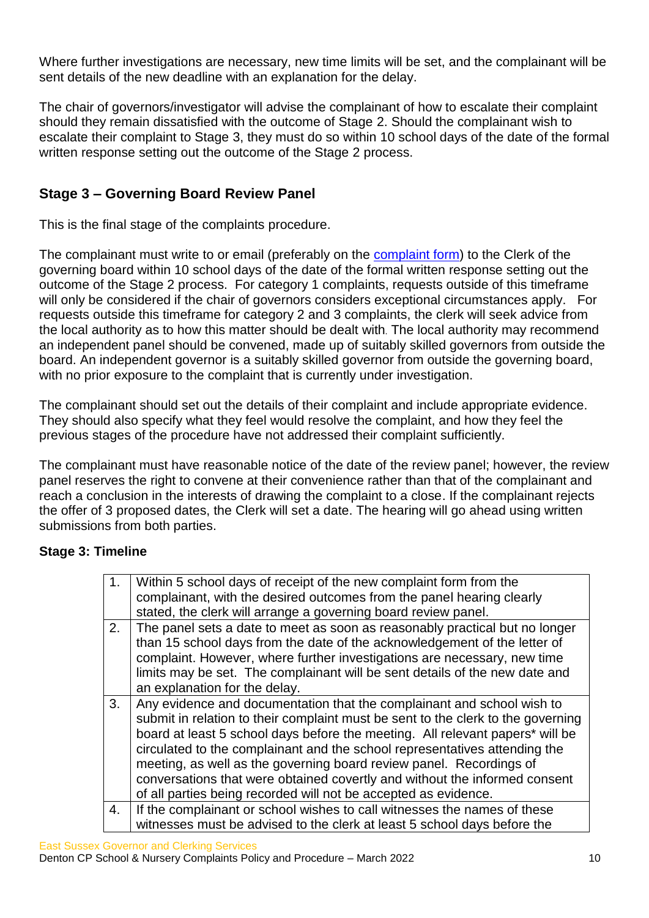Where further investigations are necessary, new time limits will be set, and the complainant will be sent details of the new deadline with an explanation for the delay.

The chair of governors/investigator will advise the complainant of how to escalate their complaint should they remain dissatisfied with the outcome of Stage 2. Should the complainant wish to escalate their complaint to Stage 3, they must do so within 10 school days of the date of the formal written response setting out the outcome of the Stage 2 process.

## <span id="page-11-0"></span>**Stage 3 – Governing Board Review Panel**

This is the final stage of the complaints procedure.

The complainant must write to or email (preferably on the [complaint form\)](#page-2-0) to the Clerk of the governing board within 10 school days of the date of the formal written response setting out the outcome of the Stage 2 process. For category 1 complaints, requests outside of this timeframe will only be considered if the chair of governors considers exceptional circumstances apply. For requests outside this timeframe for category 2 and 3 complaints, the clerk will seek advice from the local authority as to how this matter should be dealt with. The local authority may recommend an independent panel should be convened, made up of suitably skilled governors from outside the board. An independent governor is a suitably skilled governor from outside the governing board, with no prior exposure to the complaint that is currently under investigation.

The complainant should set out the details of their complaint and include appropriate evidence. They should also specify what they feel would resolve the complaint, and how they feel the previous stages of the procedure have not addressed their complaint sufficiently.

The complainant must have reasonable notice of the date of the review panel; however, the review panel reserves the right to convene at their convenience rather than that of the complainant and reach a conclusion in the interests of drawing the complaint to a close. If the complainant rejects the offer of 3 proposed dates, the Clerk will set a date. The hearing will go ahead using written submissions from both parties.

#### **Stage 3: Timeline**

<span id="page-11-1"></span>

| 1 <sub>1</sub> | Within 5 school days of receipt of the new complaint form from the<br>complainant, with the desired outcomes from the panel hearing clearly<br>stated, the clerk will arrange a governing board review panel.                                                                                                                                        |
|----------------|------------------------------------------------------------------------------------------------------------------------------------------------------------------------------------------------------------------------------------------------------------------------------------------------------------------------------------------------------|
|                |                                                                                                                                                                                                                                                                                                                                                      |
| 2.             | The panel sets a date to meet as soon as reasonably practical but no longer<br>than 15 school days from the date of the acknowledgement of the letter of<br>complaint. However, where further investigations are necessary, new time<br>limits may be set. The complainant will be sent details of the new date and<br>an explanation for the delay. |
| 3.             | Any evidence and documentation that the complainant and school wish to                                                                                                                                                                                                                                                                               |
|                |                                                                                                                                                                                                                                                                                                                                                      |
|                | submit in relation to their complaint must be sent to the clerk to the governing                                                                                                                                                                                                                                                                     |
|                | board at least 5 school days before the meeting. All relevant papers* will be                                                                                                                                                                                                                                                                        |
|                | circulated to the complainant and the school representatives attending the                                                                                                                                                                                                                                                                           |
|                | meeting, as well as the governing board review panel. Recordings of                                                                                                                                                                                                                                                                                  |
|                | conversations that were obtained covertly and without the informed consent                                                                                                                                                                                                                                                                           |
|                | of all parties being recorded will not be accepted as evidence.                                                                                                                                                                                                                                                                                      |
| 4.             | If the complainant or school wishes to call witnesses the names of these                                                                                                                                                                                                                                                                             |
|                | witnesses must be advised to the clerk at least 5 school days before the                                                                                                                                                                                                                                                                             |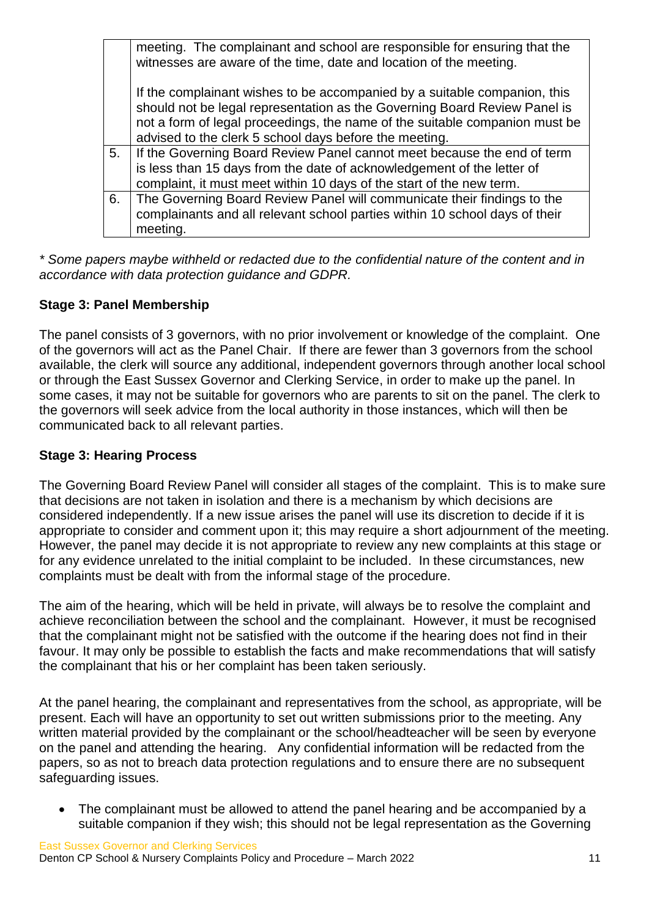|    | meeting. The complainant and school are responsible for ensuring that the<br>witnesses are aware of the time, date and location of the meeting. |  |  |  |
|----|-------------------------------------------------------------------------------------------------------------------------------------------------|--|--|--|
|    |                                                                                                                                                 |  |  |  |
|    | If the complainant wishes to be accompanied by a suitable companion, this                                                                       |  |  |  |
|    | should not be legal representation as the Governing Board Review Panel is                                                                       |  |  |  |
|    | not a form of legal proceedings, the name of the suitable companion must be                                                                     |  |  |  |
|    | advised to the clerk 5 school days before the meeting.                                                                                          |  |  |  |
| 5. | If the Governing Board Review Panel cannot meet because the end of term                                                                         |  |  |  |
|    | is less than 15 days from the date of acknowledgement of the letter of                                                                          |  |  |  |
|    | complaint, it must meet within 10 days of the start of the new term.                                                                            |  |  |  |
| 6. | The Governing Board Review Panel will communicate their findings to the                                                                         |  |  |  |
|    | complainants and all relevant school parties within 10 school days of their                                                                     |  |  |  |
|    | meeting.                                                                                                                                        |  |  |  |

*\* Some papers maybe withheld or redacted due to the confidential nature of the content and in accordance with data protection guidance and GDPR.*

#### <span id="page-12-0"></span>**Stage 3: Panel Membership**

The panel consists of 3 governors, with no prior involvement or knowledge of the complaint. One of the governors will act as the Panel Chair. If there are fewer than 3 governors from the school available, the clerk will source any additional, independent governors through another local school or through the East Sussex Governor and Clerking Service, in order to make up the panel. In some cases, it may not be suitable for governors who are parents to sit on the panel. The clerk to the governors will seek advice from the local authority in those instances, which will then be communicated back to all relevant parties.

#### <span id="page-12-1"></span>**Stage 3: Hearing Process**

The Governing Board Review Panel will consider all stages of the complaint. This is to make sure that decisions are not taken in isolation and there is a mechanism by which decisions are considered independently. If a new issue arises the panel will use its discretion to decide if it is appropriate to consider and comment upon it; this may require a short adjournment of the meeting. However, the panel may decide it is not appropriate to review any new complaints at this stage or for any evidence unrelated to the initial complaint to be included. In these circumstances, new complaints must be dealt with from the informal stage of the procedure.

The aim of the hearing, which will be held in private, will always be to resolve the complaint and achieve reconciliation between the school and the complainant. However, it must be recognised that the complainant might not be satisfied with the outcome if the hearing does not find in their favour. It may only be possible to establish the facts and make recommendations that will satisfy the complainant that his or her complaint has been taken seriously.

At the panel hearing, the complainant and representatives from the school, as appropriate, will be present. Each will have an opportunity to set out written submissions prior to the meeting. Any written material provided by the complainant or the school/headteacher will be seen by everyone on the panel and attending the hearing. Any confidential information will be redacted from the papers, so as not to breach data protection regulations and to ensure there are no subsequent safeguarding issues.

• The complainant must be allowed to attend the panel hearing and be accompanied by a suitable companion if they wish; this should not be legal representation as the Governing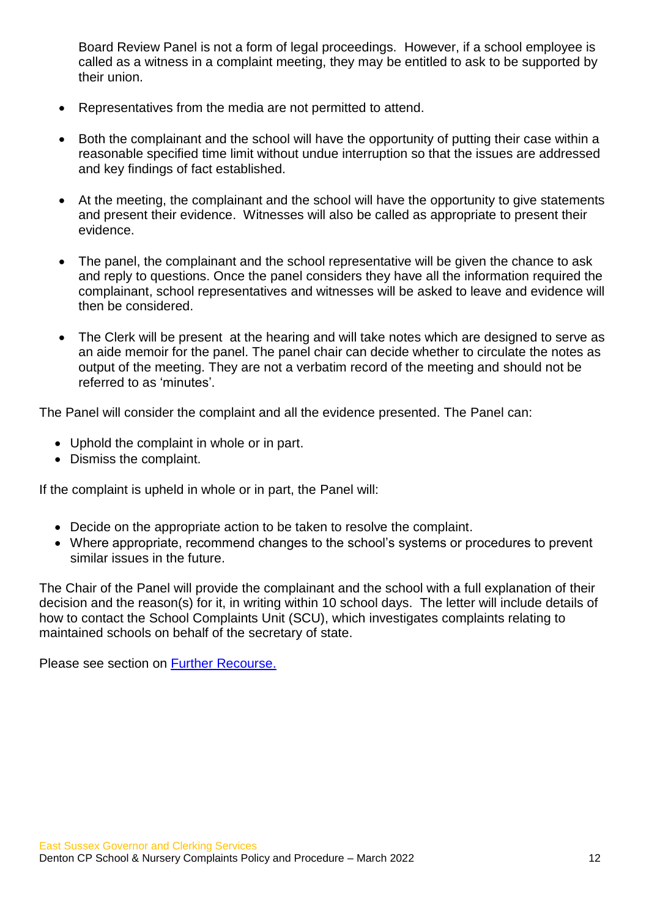Board Review Panel is not a form of legal proceedings. However, if a school employee is called as a witness in a complaint meeting, they may be entitled to ask to be supported by their union.

- Representatives from the media are not permitted to attend.
- Both the complainant and the school will have the opportunity of putting their case within a reasonable specified time limit without undue interruption so that the issues are addressed and key findings of fact established.
- At the meeting, the complainant and the school will have the opportunity to give statements and present their evidence. Witnesses will also be called as appropriate to present their evidence.
- The panel, the complainant and the school representative will be given the chance to ask and reply to questions. Once the panel considers they have all the information required the complainant, school representatives and witnesses will be asked to leave and evidence will then be considered.
- The Clerk will be present at the hearing and will take notes which are designed to serve as an aide memoir for the panel. The panel chair can decide whether to circulate the notes as output of the meeting. They are not a verbatim record of the meeting and should not be referred to as 'minutes'.

The Panel will consider the complaint and all the evidence presented. The Panel can:

- Uphold the complaint in whole or in part.
- Dismiss the complaint.

If the complaint is upheld in whole or in part, the Panel will:

- Decide on the appropriate action to be taken to resolve the complaint.
- Where appropriate, recommend changes to the school's systems or procedures to prevent similar issues in the future.

The Chair of the Panel will provide the complainant and the school with a full explanation of their decision and the reason(s) for it, in writing within 10 school days. The letter will include details of how to contact the School Complaints Unit (SCU), which investigates complaints relating to maintained schools on behalf of the secretary of state.

<span id="page-13-0"></span>Please see section on [Further Recourse.](#page-13-0)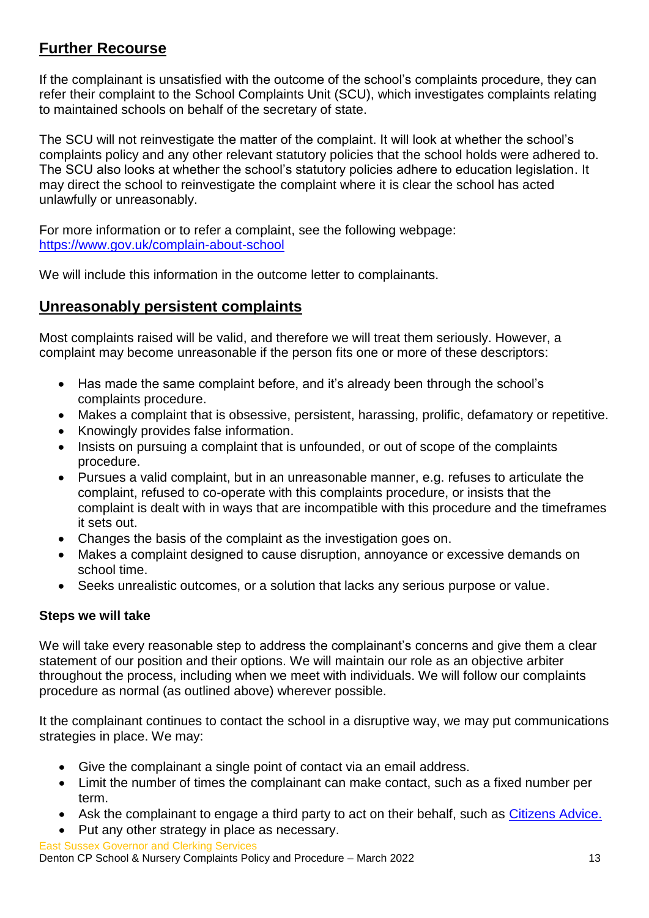# **Further Recourse**

If the complainant is unsatisfied with the outcome of the school's complaints procedure, they can refer their complaint to the School Complaints Unit (SCU), which investigates complaints relating to maintained schools on behalf of the secretary of state.

The SCU will not reinvestigate the matter of the complaint. It will look at whether the school's complaints policy and any other relevant statutory policies that the school holds were adhered to. The SCU also looks at whether the school's statutory policies adhere to education legislation. It may direct the school to reinvestigate the complaint where it is clear the school has acted unlawfully or unreasonably.

For more information or to refer a complaint, see the following webpage: <https://www.gov.uk/complain-about-school>

We will include this information in the outcome letter to complainants.

### <span id="page-14-0"></span>**Unreasonably persistent complaints**

Most complaints raised will be valid, and therefore we will treat them seriously. However, a complaint may become unreasonable if the person fits one or more of these descriptors:

- Has made the same complaint before, and it's already been through the school's complaints procedure.
- Makes a complaint that is obsessive, persistent, harassing, prolific, defamatory or repetitive.
- Knowingly provides false information.
- Insists on pursuing a complaint that is unfounded, or out of scope of the complaints procedure.
- Pursues a valid complaint, but in an unreasonable manner, e.g. refuses to articulate the complaint, refused to co-operate with this complaints procedure, or insists that the complaint is dealt with in ways that are incompatible with this procedure and the timeframes it sets out.
- Changes the basis of the complaint as the investigation goes on.
- Makes a complaint designed to cause disruption, annoyance or excessive demands on school time.
- Seeks unrealistic outcomes, or a solution that lacks any serious purpose or value.

#### **Steps we will take**

We will take every reasonable step to address the complainant's concerns and give them a clear statement of our position and their options. We will maintain our role as an objective arbiter throughout the process, including when we meet with individuals. We will follow our complaints procedure as normal (as outlined above) wherever possible.

It the complainant continues to contact the school in a disruptive way, we may put communications strategies in place. We may:

- Give the complainant a single point of contact via an email address.
- Limit the number of times the complainant can make contact, such as a fixed number per term.
- Ask the complainant to engage a third party to act on their behalf, such as [Citizens Advice.](https://www.citizensadvice.org.uk/)
- Put any other strategy in place as necessary.

East Sussex Governor and Clerking Services Denton CP School & Nursery Complaints Policy and Procedure – March 2022 13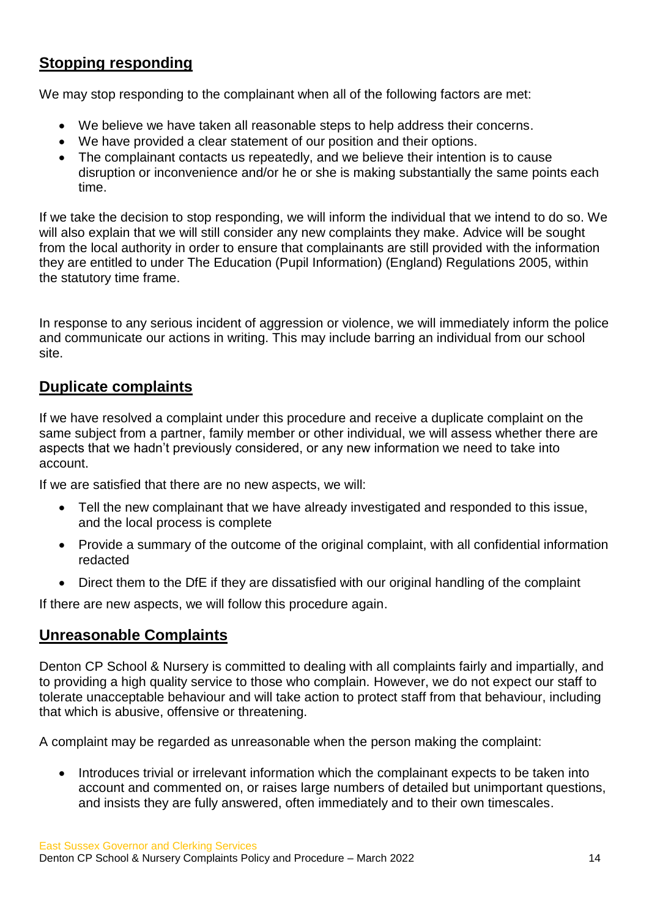# <span id="page-15-0"></span>**Stopping responding**

We may stop responding to the complainant when all of the following factors are met:

- We believe we have taken all reasonable steps to help address their concerns.
- We have provided a clear statement of our position and their options.
- The complainant contacts us repeatedly, and we believe their intention is to cause disruption or inconvenience and/or he or she is making substantially the same points each time.

If we take the decision to stop responding, we will inform the individual that we intend to do so. We will also explain that we will still consider any new complaints they make. Advice will be sought from the local authority in order to ensure that complainants are still provided with the information they are entitled to under The Education (Pupil Information) (England) Regulations 2005, within the statutory time frame.

In response to any serious incident of aggression or violence, we will immediately inform the police and communicate our actions in writing. This may include barring an individual from our school site.

### <span id="page-15-1"></span>**Duplicate complaints**

If we have resolved a complaint under this procedure and receive a duplicate complaint on the same subject from a partner, family member or other individual, we will assess whether there are aspects that we hadn't previously considered, or any new information we need to take into account.

If we are satisfied that there are no new aspects, we will:

- Tell the new complainant that we have already investigated and responded to this issue, and the local process is complete
- Provide a summary of the outcome of the original complaint, with all confidential information redacted
- Direct them to the DfE if they are dissatisfied with our original handling of the complaint

<span id="page-15-2"></span>If there are new aspects, we will follow this procedure again.

### <span id="page-15-3"></span>**Unreasonable Complaints**

Denton CP School & Nursery is committed to dealing with all complaints fairly and impartially, and to providing a high quality service to those who complain. However, we do not expect our staff to tolerate unacceptable behaviour and will take action to protect staff from that behaviour, including that which is abusive, offensive or threatening.

A complaint may be regarded as unreasonable when the person making the complaint:

• Introduces trivial or irrelevant information which the complainant expects to be taken into account and commented on, or raises large numbers of detailed but unimportant questions, and insists they are fully answered, often immediately and to their own timescales.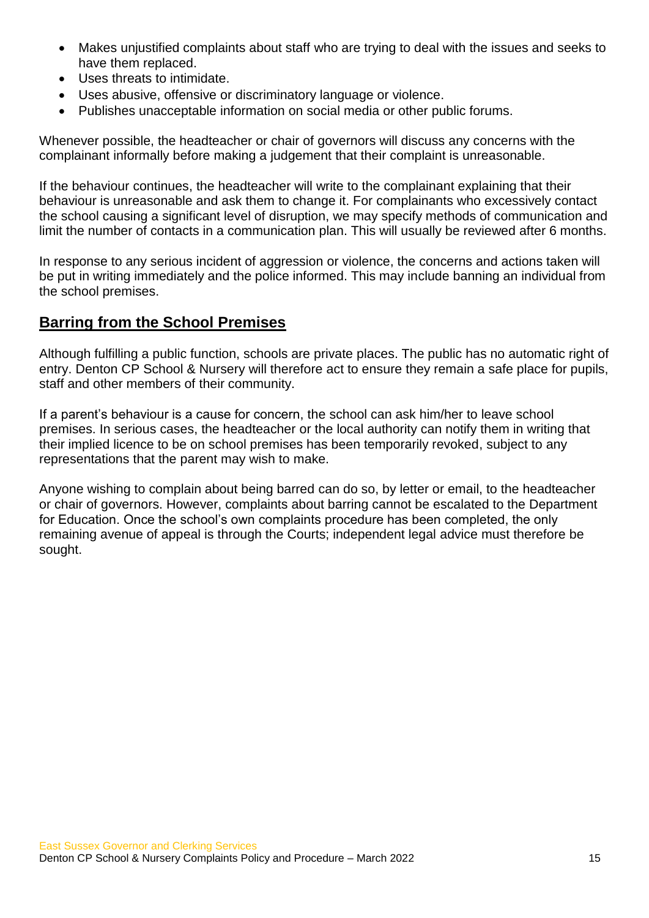- Makes unjustified complaints about staff who are trying to deal with the issues and seeks to have them replaced.
- Uses threats to intimidate.
- Uses abusive, offensive or discriminatory language or violence.
- Publishes unacceptable information on social media or other public forums.

Whenever possible, the headteacher or chair of governors will discuss any concerns with the complainant informally before making a judgement that their complaint is unreasonable.

If the behaviour continues, the headteacher will write to the complainant explaining that their behaviour is unreasonable and ask them to change it. For complainants who excessively contact the school causing a significant level of disruption, we may specify methods of communication and limit the number of contacts in a communication plan. This will usually be reviewed after 6 months.

In response to any serious incident of aggression or violence, the concerns and actions taken will be put in writing immediately and the police informed. This may include banning an individual from the school premises.

## <span id="page-16-0"></span>**Barring from the School Premises**

Although fulfilling a public function, schools are private places. The public has no automatic right of entry. Denton CP School & Nursery will therefore act to ensure they remain a safe place for pupils, staff and other members of their community.

If a parent's behaviour is a cause for concern, the school can ask him/her to leave school premises. In serious cases, the headteacher or the local authority can notify them in writing that their implied licence to be on school premises has been temporarily revoked, subject to any representations that the parent may wish to make.

Anyone wishing to complain about being barred can do so, by letter or email, to the headteacher or chair of governors. However, complaints about barring cannot be escalated to the Department for Education. Once the school's own complaints procedure has been completed, the only remaining avenue of appeal is through the Courts; independent legal advice must therefore be sought.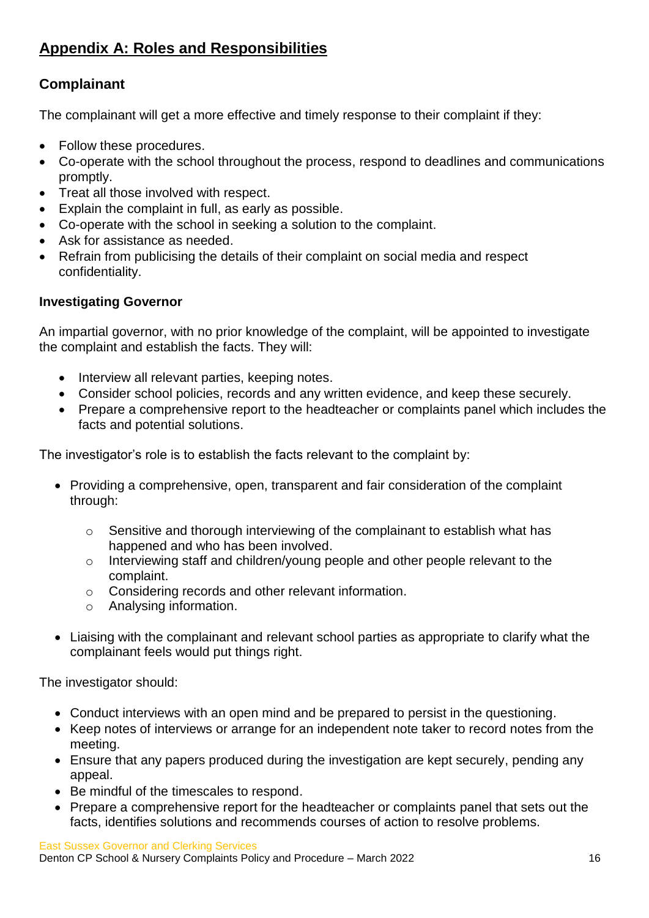# <span id="page-17-0"></span>**Appendix A: Roles and Responsibilities**

# <span id="page-17-1"></span>**Complainant**

The complainant will get a more effective and timely response to their complaint if they:

- Follow these procedures.
- Co-operate with the school throughout the process, respond to deadlines and communications promptly.
- Treat all those involved with respect.
- Explain the complaint in full, as early as possible.
- Co-operate with the school in seeking a solution to the complaint.
- Ask for assistance as needed.
- Refrain from publicising the details of their complaint on social media and respect confidentiality.

#### <span id="page-17-2"></span>**Investigating Governor**

An impartial governor, with no prior knowledge of the complaint, will be appointed to investigate the complaint and establish the facts. They will:

- Interview all relevant parties, keeping notes.
- Consider school policies, records and any written evidence, and keep these securely.
- Prepare a comprehensive report to the headteacher or complaints panel which includes the facts and potential solutions.

The investigator's role is to establish the facts relevant to the complaint by:

- Providing a comprehensive, open, transparent and fair consideration of the complaint through:
	- o Sensitive and thorough interviewing of the complainant to establish what has happened and who has been involved.
	- o Interviewing staff and children/young people and other people relevant to the complaint.
	- o Considering records and other relevant information.
	- o Analysing information.
- Liaising with the complainant and relevant school parties as appropriate to clarify what the complainant feels would put things right.

The investigator should:

- Conduct interviews with an open mind and be prepared to persist in the questioning.
- Keep notes of interviews or arrange for an independent note taker to record notes from the meeting.
- Ensure that any papers produced during the investigation are kept securely, pending any appeal.
- Be mindful of the timescales to respond.
- Prepare a comprehensive report for the headteacher or complaints panel that sets out the facts, identifies solutions and recommends courses of action to resolve problems.

East Sussex Governor and Clerking Services Denton CP School & Nursery Complaints Policy and Procedure – March 2022 16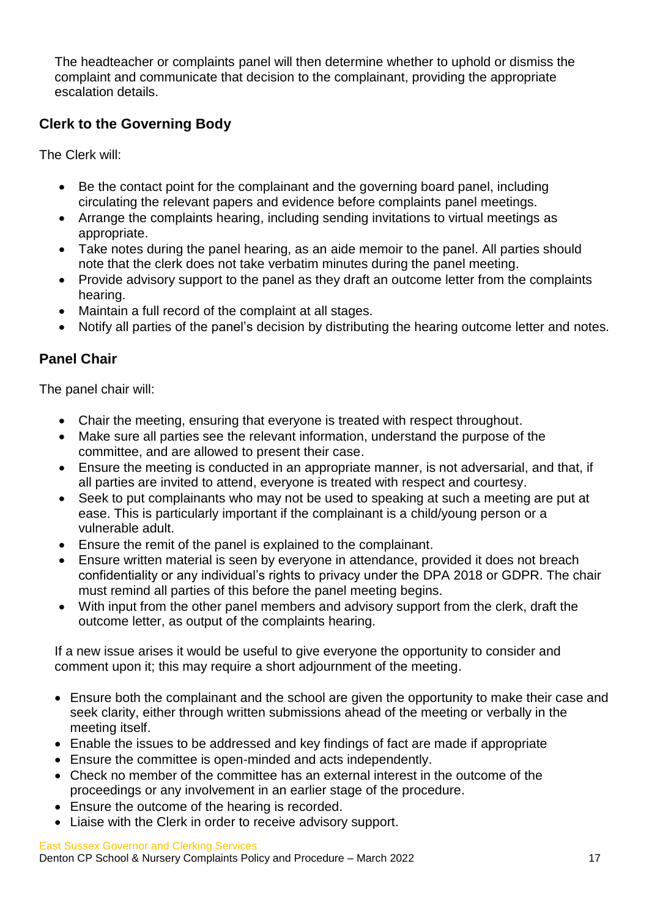The headteacher or complaints panel will then determine whether to uphold or dismiss the complaint and communicate that decision to the complainant, providing the appropriate escalation details.

# <span id="page-18-0"></span>**Clerk to the Governing Body**

The Clerk will:

- Be the contact point for the complainant and the governing board panel, including circulating the relevant papers and evidence before complaints panel meetings.
- Arrange the complaints hearing, including sending invitations to virtual meetings as appropriate.
- Take notes during the panel hearing, as an aide memoir to the panel. All parties should note that the clerk does not take verbatim minutes during the panel meeting.
- Provide advisory support to the panel as they draft an outcome letter from the complaints hearing.
- Maintain a full record of the complaint at all stages.
- Notify all parties of the panel's decision by distributing the hearing outcome letter and notes.

### <span id="page-18-1"></span>**Panel Chair**

The panel chair will:

- Chair the meeting, ensuring that everyone is treated with respect throughout.
- Make sure all parties see the relevant information, understand the purpose of the committee, and are allowed to present their case.
- Ensure the meeting is conducted in an appropriate manner, is not adversarial, and that, if all parties are invited to attend, everyone is treated with respect and courtesy.
- Seek to put complainants who may not be used to speaking at such a meeting are put at ease. This is particularly important if the complainant is a child/young person or a vulnerable adult.
- Ensure the remit of the panel is explained to the complainant.
- Ensure written material is seen by everyone in attendance, provided it does not breach confidentiality or any individual's rights to privacy under the DPA 2018 or GDPR. The chair must remind all parties of this before the panel meeting begins.
- With input from the other panel members and advisory support from the clerk, draft the outcome letter, as output of the complaints hearing.

If a new issue arises it would be useful to give everyone the opportunity to consider and comment upon it; this may require a short adjournment of the meeting.

- Ensure both the complainant and the school are given the opportunity to make their case and seek clarity, either through written submissions ahead of the meeting or verbally in the meeting itself.
- Enable the issues to be addressed and key findings of fact are made if appropriate
- Ensure the committee is open-minded and acts independently.
- Check no member of the committee has an external interest in the outcome of the proceedings or any involvement in an earlier stage of the procedure.
- Ensure the outcome of the hearing is recorded.
- Liaise with the Clerk in order to receive advisory support.

East Sussex Governor and Clerking Services Denton CP School & Nursery Complaints Policy and Procedure – March 2022 17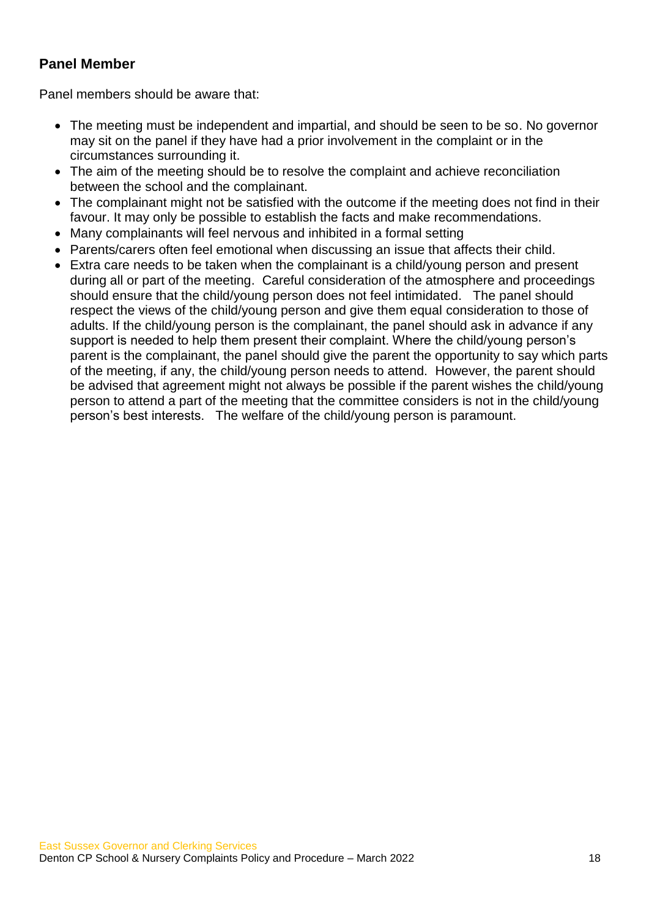### <span id="page-19-0"></span>**Panel Member**

Panel members should be aware that:

- The meeting must be independent and impartial, and should be seen to be so. No governor may sit on the panel if they have had a prior involvement in the complaint or in the circumstances surrounding it.
- The aim of the meeting should be to resolve the complaint and achieve reconciliation between the school and the complainant.
- The complainant might not be satisfied with the outcome if the meeting does not find in their favour. It may only be possible to establish the facts and make recommendations.
- Many complainants will feel nervous and inhibited in a formal setting
- Parents/carers often feel emotional when discussing an issue that affects their child.
- Extra care needs to be taken when the complainant is a child/young person and present during all or part of the meeting. Careful consideration of the atmosphere and proceedings should ensure that the child/young person does not feel intimidated. The panel should respect the views of the child/young person and give them equal consideration to those of adults. If the child/young person is the complainant, the panel should ask in advance if any support is needed to help them present their complaint. Where the child/young person's parent is the complainant, the panel should give the parent the opportunity to say which parts of the meeting, if any, the child/young person needs to attend. However, the parent should be advised that agreement might not always be possible if the parent wishes the child/young person to attend a part of the meeting that the committee considers is not in the child/young person's best interests. The welfare of the child/young person is paramount.